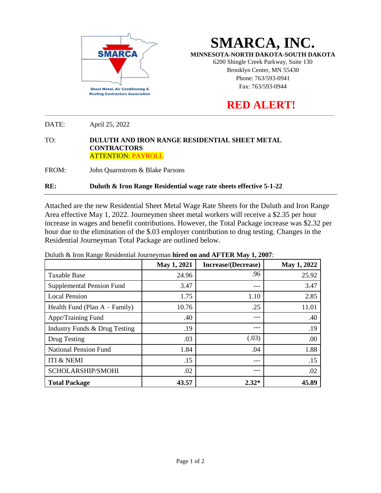

**SMARCA, INC.**

**MINNESOTA-NORTH DAKOTA-SOUTH DAKOTA**

6200 Shingle Creek Parkway, Suite 130 Brooklyn Center, MN 55430 Phone: 763/593-0941 Fax: 763/593-0944

## **RED ALERT!**

DATE: April 25, 2022

## TO: **DULUTH AND IRON RANGE RESIDENTIAL SHEET METAL CONTRACTORS** ATTENTION: PAYROLL

FROM: John Quarnstrom & Blake Parsons

## **RE: Duluth & Iron Range Residential wage rate sheets effective 5-1-22**

Attached are the new Residential Sheet Metal Wage Rate Sheets for the Duluth and Iron Range Area effective May 1, 2022. Journeymen sheet metal workers will receive a \$2.35 per hour increase in wages and benefit contributions. However, the Total Package increase was \$2.32 per hour due to the elimination of the \$.03 employer contribution to drug testing. Changes in the Residential Journeyman Total Package are outlined below.

\_\_\_\_\_\_\_\_\_\_\_\_\_\_\_\_\_\_\_\_\_\_\_\_\_\_\_\_\_\_\_\_\_\_\_\_\_\_\_\_\_\_\_\_\_\_\_\_\_\_\_\_\_\_\_\_\_\_\_\_\_\_\_\_\_\_\_\_\_\_\_\_\_\_\_\_\_\_\_\_\_\_\_\_\_\_\_\_\_\_\_\_\_\_\_\_\_\_\_\_\_\_\_\_\_\_\_\_\_\_\_\_\_\_\_\_\_\_\_\_\_\_\_\_\_\_\_\_\_\_\_\_\_

|                                  | May 1, 2021 | Increase/(Decrease) | May 1, 2022 |
|----------------------------------|-------------|---------------------|-------------|
| <b>Taxable Base</b>              | 24.96       | .96                 | 25.92       |
| <b>Supplemental Pension Fund</b> | 3.47        |                     | 3.47        |
| <b>Local Pension</b>             | 1.75        | 1.10                | 2.85        |
| Health Fund (Plan $A - Family$ ) | 10.76       | .25                 | 11.01       |
| Appr/Training Fund               | .40         | ---                 | .40         |
| Industry Funds & Drug Testing    | .19         | ---                 | .19         |
| Drug Testing                     | .03         | (.03)               | .00         |
| <b>National Pension Fund</b>     | 1.84        | .04                 | 1.88        |
| <b>ITI &amp; NEMI</b>            | .15         | ---                 | .15         |
| SCHOLARSHIP/SMOHI                | .02         | ---                 | .02         |
| <b>Total Package</b>             | 43.57       | $2.32*$             | 45.89       |

Duluth & Iron Range Residential Journeyman **hired on and AFTER May 1, 2007**: